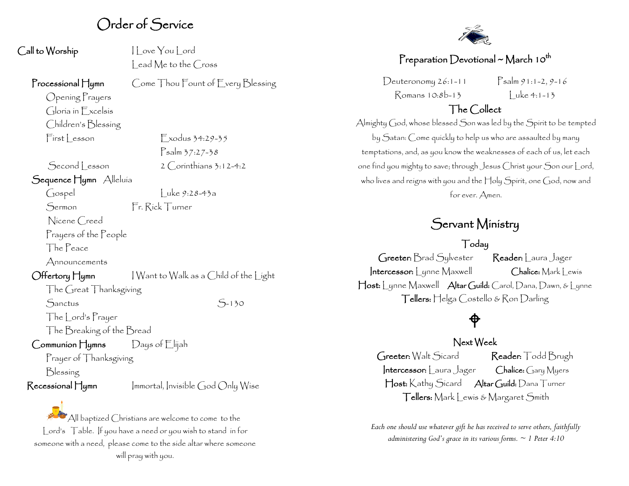## Order of Service

| Call to Worship |  |
|-----------------|--|
|-----------------|--|

 $\vert\vert$  ove You  $\vert$  ord lead Me to the Cross

Psalm 37:27-38

#### Processional Hymn Come Thou Fount of Every Blessing

Opening Prayers Gloria in Excelsis Children's Blessing First Lesson Exodus 34:29-35

 $Second *lesson* 2 *Corinthians* 3:12-4:2$ 

Sequence Hymn Alleluia

 $\int \csc y$  Luke 9:28-43a

Sermon Fr. Rick Turner

Nicene Creed

Prayers of the People

The Peace

Announcements

Offertory Hymn I Want to Walk as a Child of the Light The Great Thanksgiving

Sanctus S-130

The Lord's Prayer

The Breaking of the Bread

### Communion Hymns Days of Elijah

Prayer of Thanksgiving

Blessing

 $\mathsf{Recessional}\,\mathsf{H}$ ymn Immortal, Invisible God Only Wise

All baptized Christians are welcome to come to the Lord's Table. If you have a need or you wish to stand in for someone with a need, please come to the side altar where someone will pray with you.



## Preparation Devotional ~ March 10<sup>th</sup>

 $Deuteronomy 26:1-11$   $Psalm 91:1-2, 9-16$  $Romans 10:8b-13$   $|$  uke 4:1-13

## The Collect

Almighty God, whose blessed Son was led by the Spirit to be tempted by Satan: Come quickly to help us who are assaulted by many temptations, and, as you know the weaknesses of each of us, let each one find you mighty to save; through Jesus Christ your Son our Lord, who lives and reigns with you and the Holy Spirit, one God, now and for ever. Amen.

## Servant Ministry

## Today

Greeter: Brad Sylvester Reader: Laura Jager Intercessor: Lynne Maxwell Chalice: Mark Lewis Host: Lynne Maxwell Altar Guild: Carol, Dana, Dawn, & Lynne Tellers: Helga Costello & Ron Darling

## $\hat{\mathsf{P}}$

### Next Week

Greeter: Walt Sicard Reader: Todd Brugh Intercessor: Laura Jager Chalice: Gary Myers Host: Kathy Sicard Altar Guild: Dana Turner Tellers: Mark Lewis & Margaret Smith

*Each one should use whatever gift he has received to serve others, faithfully administering God's grace in its various forms. ~ 1 Peter 4:10*